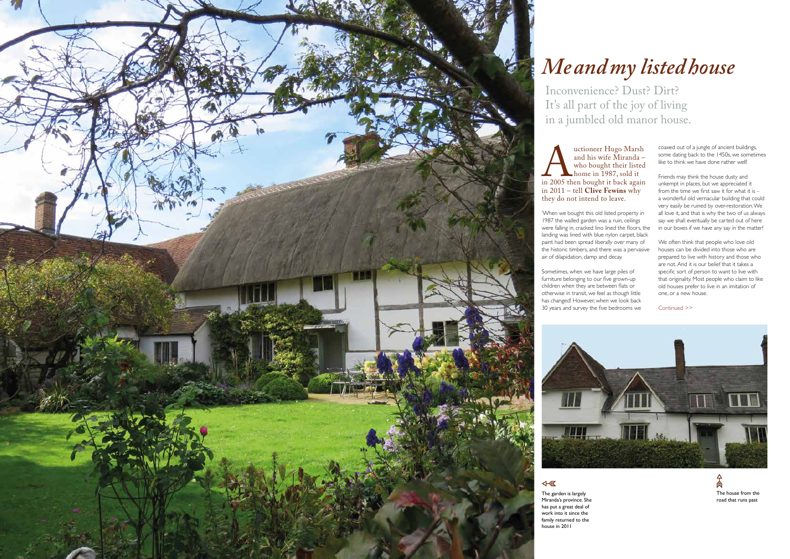The garden is largely Miranda's province. She has put a great deal of work into it since the family returned to the house in 2011

*Me and my listed house*



Inconvenience? Dust? Dirt? It's all part of the joy of living in a jumbled old manor house.

uctioneer Hugo Marsh<br>and his wife Miranda –<br>who bought their listed<br>home in 1987, sold it<br>in 2005 then bought it back again<br>in 2011 – tell **Clive Fewins** why and his wife Miranda – who bought their listed home in 1987, sold it in 2005 then bought it back again in 2011 – tell **Clive Fewins** why they do not intend to leave.

'When we bought this old listed property in 1987 the walled garden was a ruin, ceilings were falling in, cracked lino lined the floors, the landing was lined with blue nylon carpet, black paint had been spread liberally over many of the historic timbers, and there was a pervasive air of dilapidation, damp and decay.

Sometimes, when we have large piles of furniture belonging to our five grown-up children when they are between flats or otherwise in transit, we feel as though little has changed! However, when we look back 30 years and survey the five bedrooms we



coaxed out of a jungle of ancient buildings, some dating back to the 1450s, we sometimes like to think we have done rather well!

Friends may think the house dusty and unkempt in places, but we appreciated it from the time we first saw it for what it is – a wonderful old vernacular building that could very easily be ruined by over-restoration. We all love it, and that is why the two of us always say we shall eventually be carted out of here in our boxes if we have any say in the matter!

We often think that people who love old houses can be divided into those who are prepared to live with history and those who are not. And it is our belief that it takes a specific sort of person to want to live with that originality. Most people who claim to like old houses prefer to live in an imitation of one, or a new house.

Continued >>

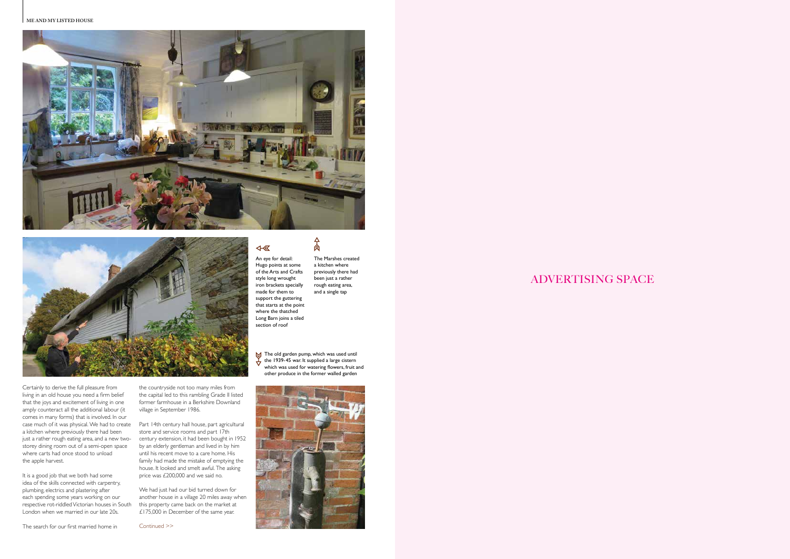### **ME AND MY LISTED HOUSE**





## ADVERTISING SPACE

Continued >>



The Marshes created a kitchen where previously there had been just a rather rough eating area, and a single tap

 $\frac{1}{2}$ 

Certainly to derive the full pleasure from living in an old house you need a firm belief that the joys and excitement of living in one amply counteract all the additional labour (it comes in many forms) that is involved. In our case much of it was physical. We had to create Part 14th century hall house, part agricultural a kitchen where previously there had been just a rather rough eating area, and a new twostorey dining room out of a semi-open space where carts had once stood to unload the apple harvest.

It is a good job that we both had some idea of the skills connected with carpentry, plumbing, electrics and plastering after each spending some years working on our respective rot-riddled Victorian houses in South London when we married in our late 20s.

**S** The old garden pump, which was used until the 1939-45 war. It supplied a large cistern which was used for watering flowers, fruit and other produce in the former walled garden

 $\overline{48}$ An eye for detail:

The search for our first married home in

the countryside not too many miles from

the capital led to this rambling Grade II listed former farmhouse in a Berkshire Downland village in September 1986.

store and service rooms and part 17th century extension, it had been bought in 1952 by an elderly gentleman and lived in by him until his recent move to a care home. His family had made the mistake of emptying the house. It looked and smelt awful. The asking price was £200,000 and we said no.

We had just had our bid turned down for another house in a village 20 miles away when this property came back on the market at £175,000 in December of the same year.

Hugo points at some of the Arts and Crafts style long wrought iron brackets specially made for them to support the guttering that starts at the point where the thatched Long Barn joins a tiled section of roof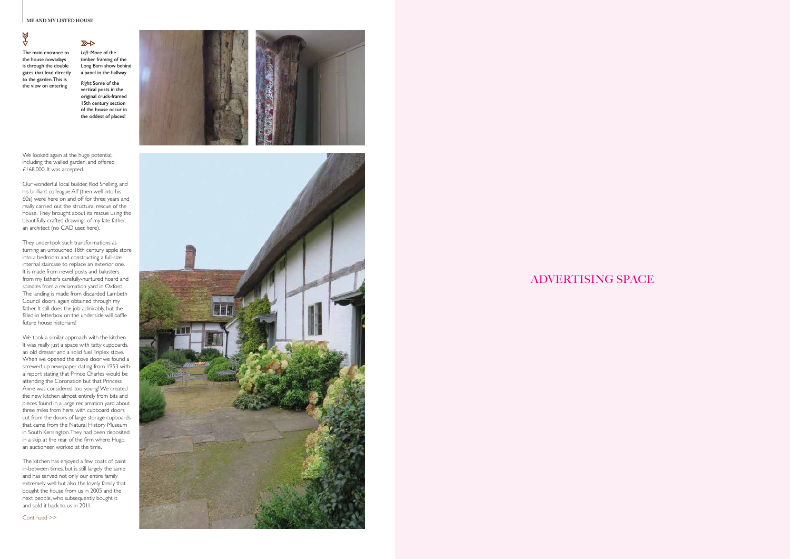# 4⊗





ADVERTISING SPACE

The main entrance to the house nowadays is through the double gates that lead directly to the garden. This is the view on entering

We looked again at the huge potential, including the walled garden, and offered £168,000. It was accepted.

Our wonderful local builder, Rod Snelling, and his brilliant colleague Alf (then well into his 60s) were here on and off for three years and really carried out the structural rescue of the house. They brought about its rescue using the beautifully crafted drawings of my late father, an architect (no CAD user, here).

They undertook such transformations as turning an untouched 18th century apple store into a bedroom and constructing a full-size internal staircase to replace an exterior one. It is made from newel posts and balusters from my father's carefully-nurtured hoard and spindles from a reclamation yard in Oxford. The landing is made from discarded Lambeth Council doors, again obtained through my father. It still does the job admirably, but the filled-in letterbox on the underside will baffle future house historians!

We took a similar approach with the kitchen. It was really just a space with tatty cupboards, an old dresser and a solid fuel Triplex stove. When we opened the stove door we found a screwed-up newspaper dating from 1953 with a report stating that Prince Charles would be attending the Coronation but that Princess Anne was considered too young! We created the new kitchen almost entirely from bits and pieces found in a large reclamation yard about three miles from here, with cupboard doors cut from the doors of large storage cupboards that came from the Natural History Museum in South Kensington. They had been deposited in a skip at the rear of the firm where Hugo, an auctioneer, worked at the time.

The kitchen has enjoyed a few coats of paint in-between times, but is still largely the same and has served not only our entire family extremely well but also the lovely family that bought the house from us in 2005 and the next people, who subsequently bought it and sold it back to us in 2011.

Continued >>

*Left:* More of the timber framing of the Long Barn show behind a panel in the hallway

 $R$ 

*Right:* Some of the vertical posts in the original cruck-framed 15th century section of the house occur in the oddest of places!